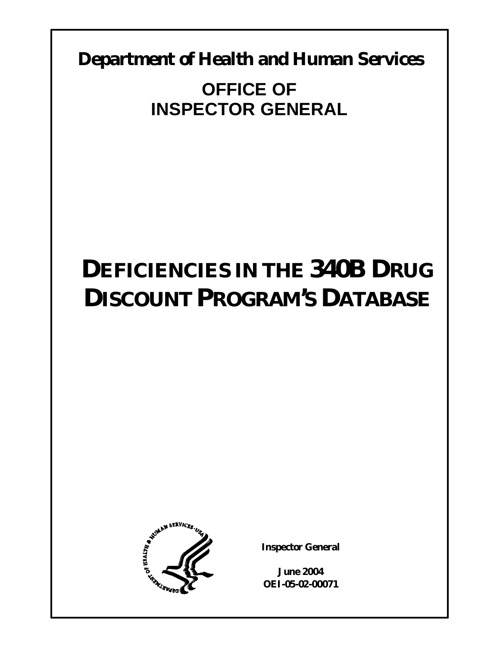**Department of Health and Human Services** 

# **OFFICE OF INSPECTOR GENERAL**

# **DEFICIENCIES IN THE 340B DRUG DISCOUNT PROGRAM'S DATABASE**



**Inspector General** 

**June 2004 OEI-05-02-00071**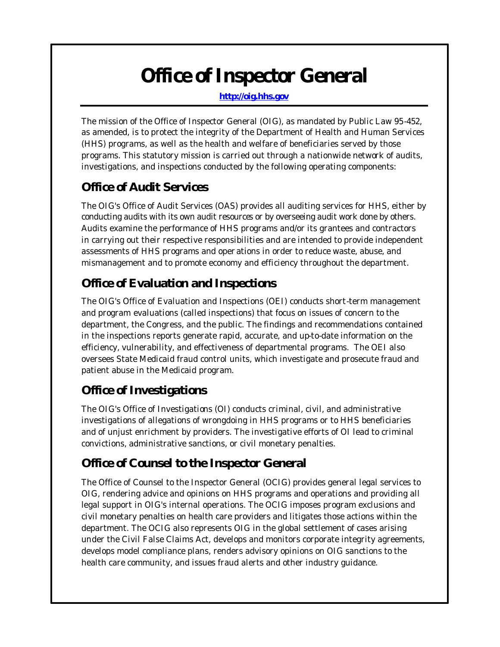# *Office of Inspector General*

**http://oig.hhs.gov** 

The mission of the Office of Inspector General (OIG), as mandated by Public Law 95-452, as amended, is to protect the integrity of the Department of Health and Human Services (HHS) programs, as well as the health and welfare of beneficiaries served by those programs. This statutory mission is carried out through a nationwide network of audits, investigations, and inspections conducted by the following operating components:

# *Office of Audit Services*

The OIG's Office of Audit Services (OAS) provides all auditing services for HHS, either by conducting audits with its own audit resources or by overseeing audit work done by others. Audits examine the performance of HHS programs and/or its grantees and contractors in carrying out their respective responsibilities and are intended to provide independent assessments of HHS programs and oper ations in order to reduce waste, abuse, and mismanagement and to promote economy and efficiency throughout the department.

# *Office of Evaluation and Inspections*

The OIG's Office of Evaluation and Inspections (OEI) conducts short-term management and program evaluations (called inspections) that focus on issues of concern to the department, the Congress, and the public. The findings and recommendations contained in the inspections reports generate rapid, accurate, and up-to-date information on the efficiency, vulnerability, and effectiveness of departmental programs. The OEI also oversees State Medicaid fraud control units, which investigate and prosecute fraud and patient abuse in the Medicaid program.

# *Office of Investigations*

The OIG's Office of Investigations (OI) conducts criminal, civil, and administrative investigations of allegations of wrongdoing in HHS programs or to HHS beneficiaries and of unjust enrichment by providers. The investigative efforts of OI lead to criminal convictions, administrative sanctions, or civil monetary penalties.

# *Office of Counsel to the Inspector General*

The Office of Counsel to the Inspector General (OCIG) provides general legal services to OIG, rendering advice and opinions on HHS programs and operations and providing all legal support in OIG's internal operations. The OCIG imposes program exclusions and civil monetary penalties on health care providers and litigates those actions within the department. The OCIG also represents OIG in the global settlement of cases arising under the Civil False Claims Act, develops and monitors corporate integrity agreements, develops model compliance plans, renders advisory opinions on OIG sanctions to the health care community, and issues fraud alerts and other industry guidance.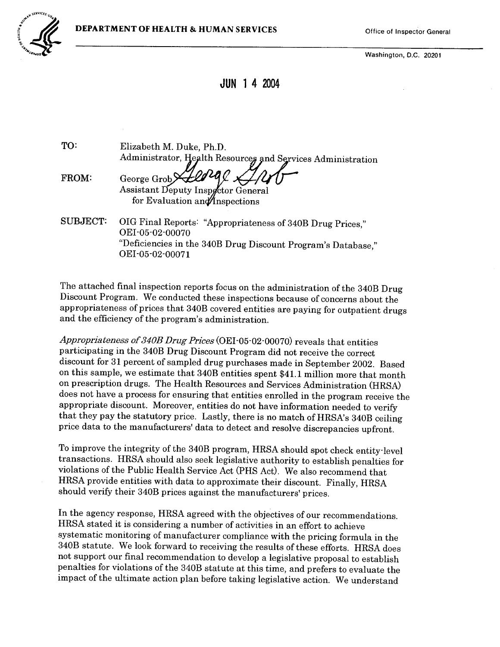

Washington, D.C. 20201

JUN 1 4 2004

TO: Elizabeth M. Duke, Ph.D. Administrator, Health Resources and Services Administration

FROM: George Grob Assistant Deputy Inspector General for Evaluation and Inspections

SUBJECT: OIG Final Reports: "Appropriateness of 340B Drug Prices," OEI -05-02-00070 "Deficiencies in the 340B Drug Discount Program's Database," OEI -05-02-00071

The attached final inspection reports focus on the administration of the 340B Drug Discount Program. We conducted these inspections because of concerns about the appropriateness of prices that 340B covered entities are paying for outpatient drugs and the efficiency of the program's administration.

Appropriateness of 340B Drug Prices (OEI-05-02-00070) reveals that entities participating in the 340B Drug Discount Program did not receive the correct discount for 31 percent of sampled drug purchases made in September 2002. Based on this sample, we estimate that 340B entities spent \$41.1 million more that month<br>on prescription drugs. The Health Resources and Services Administration (HRSA) does not have a process for ensuring that entities enrolled in the program receive the appropriate discount. Moreover, entities do not have information needed to verify that they pay the statutory price. Lastly, there is no match of HRSA's 340B ceiling price data to the manufacturers' data to detect and resolve discrepancies upfront.

To improve the integrity of the 340B program, HRSA should spot check entity-level transactions. HRSA should also seek legislative authority to establish penalties for violations of the Public Health Service Act (PHS Act). We also recommend that HRSA provide entities with data to approximate their discount. Finally, HRSA should verify their 340B prices against the manufacturers' prices.

In the agency response, HRSA agreed with the objectives of our recommendations. HRSA stated it is considering a number of activities in an effort to achieve systematic monitoring of manufacturer compliance with the pricing formula in the 340B statute. We look forward to receiving the results of these efforts. HRSA does not support our final recommendation to develop a legislative proposal to establish impact of the ultimate action plan before taking legislative action. We understand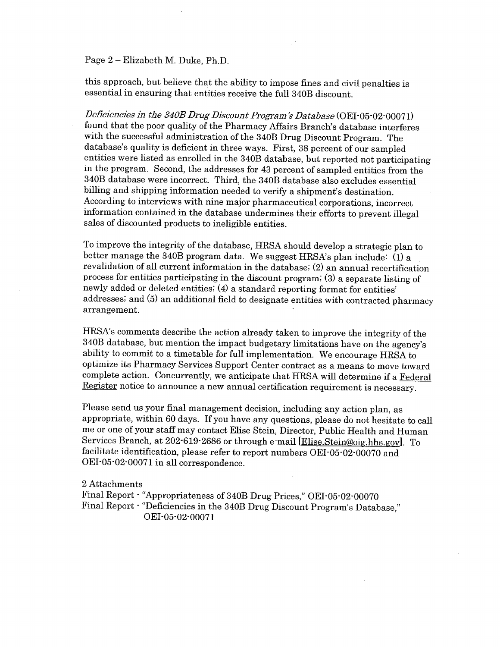#### Page 2 – Elizabeth M. Duke, Ph.D.

this approach, but believe that the abilty to impose fines and civil penalties is essential in ensuring that entities receive the full 340B discount.

Deficiencies in the 340B Drug Discount Program's Database (OEI-05-02-00071) found that the poor quality of the Pharmacy Affairs Branch's database interferes with the successful administration of the 340B Drug Discount Program. The database's quality is deficient in three ways. First, 38 percent of our sampled<br>entities were listed as enrolled in the 340B database, but reported not participating<br>in the program. Second, the addresses for 43 percent of 340B database were incorrect. Third, the 340B database also excludes essential billing and shipping information needed to verify a shipment's destination. According to interviews with nine major pharmaceutical corporations, incorrect information contained in the database undermines their efforts to prevent ilegal sales of discounted products to ineligible entities.

To improve the integrity of the database, HRSA should develop a strategic plan to<br>better manage the 340B program data. We suggest HRSA's plan include: (1) a revalidation of all current information in the database; (2) an annual recertification process for entities participating in the discount program; (3) a separate listing of newly added or deleted entities; (4) a standard reporting format for entities addresses; and (5) an additional field to designate entities with contracted pharmacy arrangement.

HRSA's comments describe the action already taken to improve the integrity of the 340B database, but mention the impact budgetary limitations have on the agency ability to commit to a timetable for full implementation. We encourage HRSA to optimize its Pharmacy Services Support Center contract as a means to move toward complete action. Concurrently, we anticipate that HRSA wil determine if a Federal Register notice to announce a new annual certification requirement is necessary.

Please send us your final management decision, including any action plan, as appropriate, within 60 days. If you have any questions, please do not hesitate to call me or one of your staff may contact Elise Stein, Director, Public Health and Human Services Branch, at 202-619-2686 or through e-mail [Elise.Stein@oig.hhs.gov]. To faciltate identification, please refer to report numbers OEI -05-02-00070 and OEI -05-02-00071 in all correspondence.

2 Attachments

Final Report - "Appropriateness of 340B Drug Prices," OEI-05-02-00070 Final Report - "Deficiencies in the 340B Drug Discount Program's Database," OEI -05-02-00071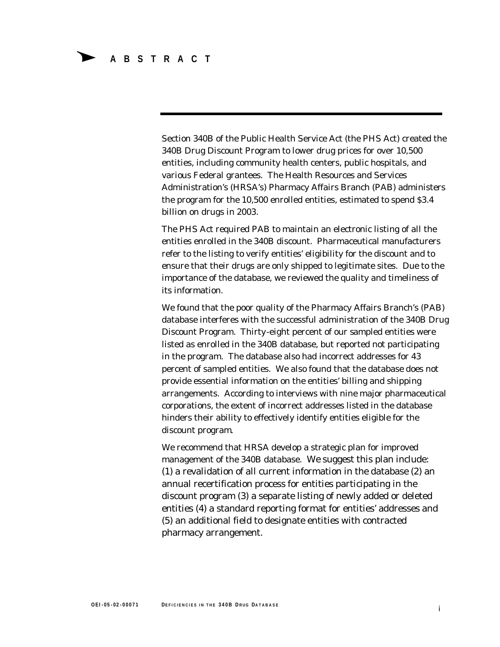Section 340B of the Public Health Service Act (the PHS Act) created the 340B Drug Discount Program to lower drug prices for over 10,500 entities, including community health centers, public hospitals, and various Federal grantees. The Health Resources and Services Administration's (HRSA's) Pharmacy Affairs Branch (PAB) administers the program for the 10,500 enrolled entities, estimated to spend \$3.4 billion on drugs in 2003.

The PHS Act required PAB to maintain an electronic listing of all the entities enrolled in the 340B discount. Pharmaceutical manufacturers refer to the listing to verify entities' eligibility for the discount and to ensure that their drugs are only shipped to legitimate sites. Due to the importance of the database, we reviewed the quality and timeliness of its information.

We found that the poor quality of the Pharmacy Affairs Branch's (PAB) database interferes with the successful administration of the 340B Drug Discount Program. Thirty-eight percent of our sampled entities were listed as enrolled in the 340B database, but reported not participating in the program. The database also had incorrect addresses for 43 percent of sampled entities. We also found that the database does not provide essential information on the entities' billing and shipping arrangements. According to interviews with nine major pharmaceutical corporations, the extent of incorrect addresses listed in the database hinders their ability to effectively identify entities eligible for the discount program.

We recommend that HRSA develop a strategic plan for improved management of the 340B database. We suggest this plan include: (1) a revalidation of all current information in the database (2) an annual recertification process for entities participating in the discount program (3) a separate listing of newly added or deleted entities (4) a standard reporting format for entities' addresses and (5) an additional field to designate entities with contracted pharmacy arrangement.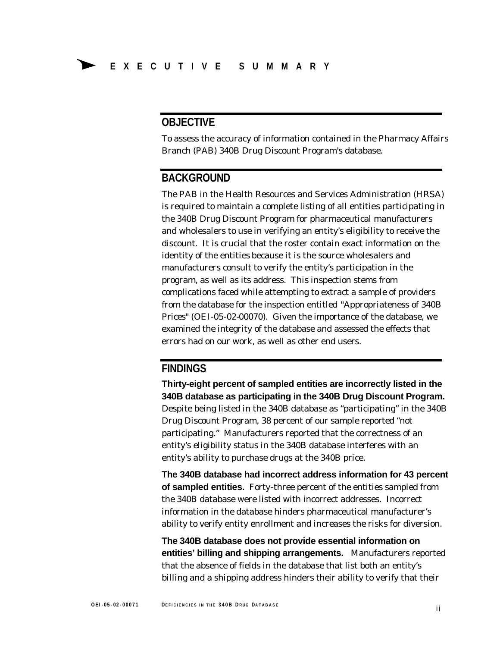#### **OBJECTIVE**

To assess the accuracy of information contained in the Pharmacy Affairs Branch (PAB) 340B Drug Discount Program's database.

#### **BACKGROUND**

The PAB in the Health Resources and Services Administration (HRSA) is required to maintain a complete listing of all entities participating in the 340B Drug Discount Program for pharmaceutical manufacturers and wholesalers to use in verifying an entity's eligibility to receive the discount. It is crucial that the roster contain exact information on the identity of the entities because it is the source wholesalers and manufacturers consult to verify the entity's participation in the program, as well as its address. This inspection stems from complications faced while attempting to extract a sample of providers from the database for the inspection entitled *"Appropriateness of 340B Prices"* (OEI-05-02-00070). Given the importance of the database, we examined the integrity of the database and assessed the effects that errors had on our work, as well as other end users.

#### **FINDINGS**

**Thirty-eight percent of sampled entities are incorrectly listed in the 340B database as participating in the 340B Drug Discount Program.**  Despite being listed in the 340B database as "participating" in the 340B Drug Discount Program, 38 percent of our sample reported "not participating." Manufacturers reported that the correctness of an entity's eligibility status in the 340B database interferes with an entity's ability to purchase drugs at the 340B price.

**The 340B database had incorrect address information for 43 percent of sampled entities.** Forty-three percent of the entities sampled from the 340B database were listed with incorrect addresses. Incorrect information in the database hinders pharmaceutical manufacturer's ability to verify entity enrollment and increases the risks for diversion.

**The 340B database does not provide essential information on entities' billing and shipping arrangements.** Manufacturers reported that the absence of fields in the database that list both an entity's billing and a shipping address hinders their ability to verify that their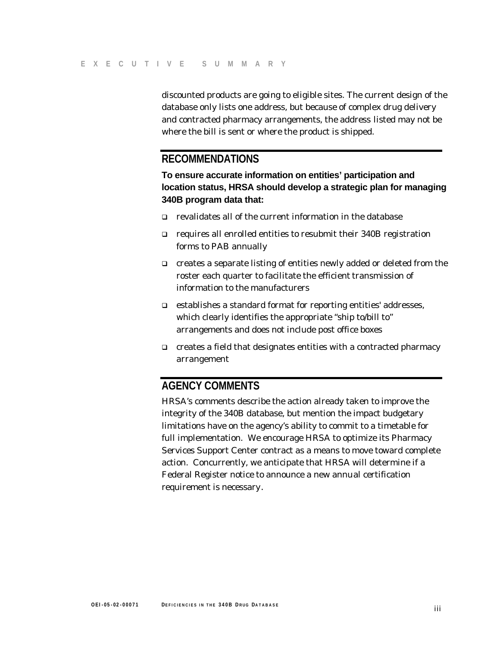discounted products are going to eligible sites. The current design of the database only lists one address, but because of complex drug delivery and contracted pharmacy arrangements, the address listed may not be where the bill is sent or where the product is shipped.

#### **RECOMMENDATIONS**

**To ensure accurate information on entities' participation and location status, HRSA should develop a strategic plan for managing 340B program data that:** 

- $\Box$  revalidates all of the current information in the database
- $\Box$  requires all enrolled entities to resubmit their 340B registration forms to PAB annually
- $\Box$  creates a separate listing of entities newly added or deleted from the roster each quarter to facilitate the efficient transmission of information to the manufacturers
- $\Box$  establishes a standard format for reporting entities' addresses, which clearly identifies the appropriate "ship to/bill to" arrangements and does not include post office boxes
- $\Box$  creates a field that designates entities with a contracted pharmacy arrangement

#### **AGENCY COMMENTS**

HRSA's comments describe the action already taken to improve the integrity of the 340B database, but mention the impact budgetary limitations have on the agency's ability to commit to a timetable for full implementation. We encourage HRSA to optimize its Pharmacy Services Support Center contract as a means to move toward complete action. Concurrently, we anticipate that HRSA will determine if a Federal Register notice to announce a new annual certification requirement is necessary.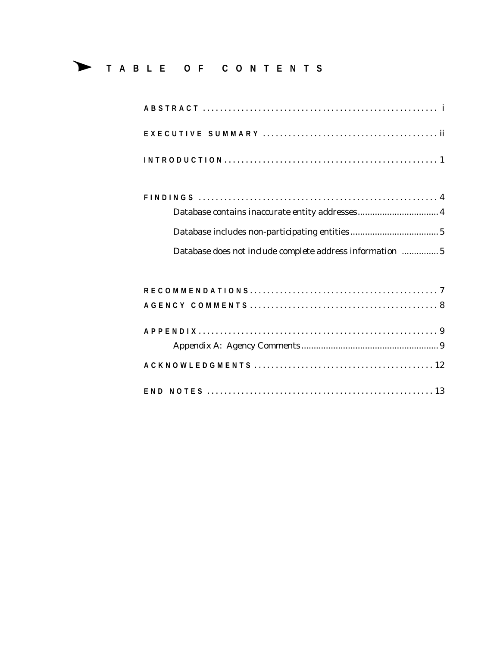# � **TABLE OF CONTENTS**

| Database does not include complete address information  5 |  |
|-----------------------------------------------------------|--|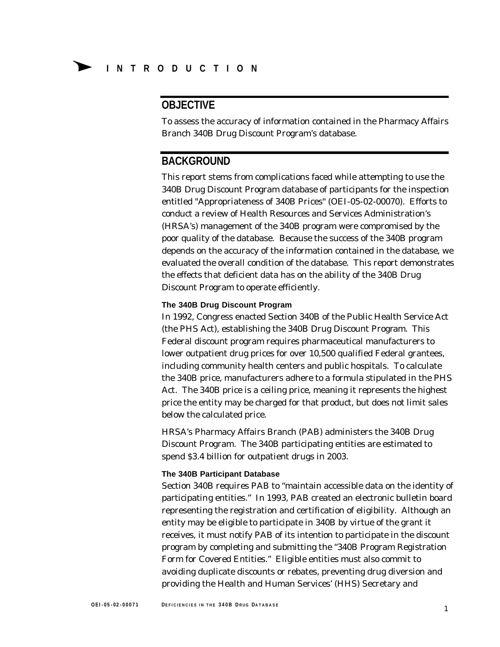### **OBJECTIVE**

To assess the accuracy of information contained in the Pharmacy Affairs Branch 340B Drug Discount Program's database.

#### **BACKGROUND**

This report stems from complications faced while attempting to use the 340B Drug Discount Program database of participants for the inspection entitled "Appropriateness of 340B Prices" (OEI-05-02-00070). Efforts to conduct a review of Health Resources and Services Administration's (HRSA's) management of the 340B program were compromised by the poor quality of the database. Because the success of the 340B program depends on the accuracy of the information contained in the database, we evaluated the overall condition of the database. This report demonstrates the effects that deficient data has on the ability of the 340B Drug Discount Program to operate efficiently.

#### **The 340B Drug Discount Program**

In 1992, Congress enacted Section 340B of the Public Health Service Act (the PHS Act), establishing the 340B Drug Discount Program. This Federal discount program requires pharmaceutical manufacturers to lower outpatient drug prices for over 10,500 qualified Federal grantees, including community health centers and public hospitals. To calculate the 340B price, manufacturers adhere to a formula stipulated in the PHS Act. The 340B price is a ceiling price, meaning it represents the highest price the entity may be charged for that product, but does not limit sales below the calculated price.

HRSA's Pharmacy Affairs Branch (PAB) administers the 340B Drug Discount Program. The 340B participating entities are estimated to spend \$3.4 billion for outpatient drugs in 2003.

#### **The 340B Participant Database**

Section 340B requires PAB to "maintain accessible data on the identity of participating entities." In 1993, PAB created an electronic bulletin board representing the registration and certification of eligibility. Although an entity may be eligible to participate in 340B by virtue of the grant it receives, it must notify PAB of its intention to participate in the discount program by completing and submitting the "340B Program Registration Form for Covered Entities." Eligible entities must also commit to avoiding duplicate discounts or rebates, preventing drug diversion and providing the Health and Human Services' (HHS) Secretary and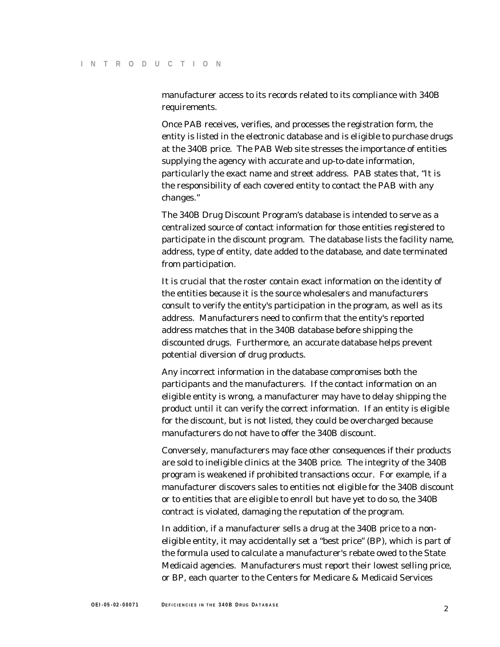manufacturer access to its records related to its compliance with 340B requirements.

Once PAB receives, verifies, and processes the registration form, the entity is listed in the electronic database and is eligible to purchase drugs at the 340B price. The PAB Web site stresses the importance of entities supplying the agency with accurate and up-to-date information, particularly the exact name and street address. PAB states that, "It is the responsibility of each covered entity to contact the PAB with any changes."

The 340B Drug Discount Program's database is intended to serve as a centralized source of contact information for those entities registered to participate in the discount program. The database lists the facility name, address, type of entity, date added to the database, and date terminated from participation.

It is crucial that the roster contain exact information on the identity of the entities because it is the source wholesalers and manufacturers consult to verify the entity's participation in the program, as well as its address. Manufacturers need to confirm that the entity's reported address matches that in the 340B database before shipping the discounted drugs. Furthermore, an accurate database helps prevent potential diversion of drug products.

Any incorrect information in the database compromises both the participants and the manufacturers. If the contact information on an eligible entity is wrong, a manufacturer may have to delay shipping the product until it can verify the correct information. If an entity is eligible for the discount, but is not listed, they could be overcharged because manufacturers do not have to offer the 340B discount.

Conversely, manufacturers may face other consequences if their products are sold to ineligible clinics at the 340B price. The integrity of the 340B program is weakened if prohibited transactions occur. For example, if a manufacturer discovers sales to entities not eligible for the 340B discount or to entities that are eligible to enroll but have yet to do so, the 340B contract is violated, damaging the reputation of the program.

In addition, if a manufacturer sells a drug at the 340B price to a noneligible entity, it may accidentally set a "best price" (BP), which is part of the formula used to calculate a manufacturer's rebate owed to the State Medicaid agencies. Manufacturers must report their lowest selling price, or BP, each quarter to the Centers for Medicare & Medicaid Services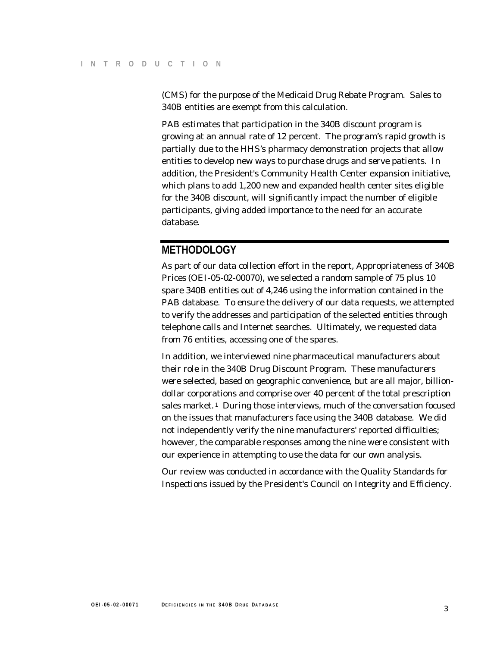(CMS) for the purpose of the Medicaid Drug Rebate Program. Sales to 340B entities are exempt from this calculation.

PAB estimates that participation in the 340B discount program is growing at an annual rate of 12 percent. The program's rapid growth is partially due to the HHS's pharmacy demonstration projects that allow entities to develop new ways to purchase drugs and serve patients. In addition, the President's Community Health Center expansion initiative, which plans to add 1,200 new and expanded health center sites eligible for the 340B discount, will significantly impact the number of eligible participants, giving added importance to the need for an accurate database.

#### **METHODOLOGY**

As part of our data collection effort in the report, *Appropriateness of 340B Prices* (OEI-05-02-00070), we selected a random sample of 75 plus 10 spare 340B entities out of 4,246 using the information contained in the PAB database. To ensure the delivery of our data requests, we attempted to verify the addresses and participation of the selected entities through telephone calls and Internet searches. Ultimately, we requested data from 76 entities, accessing one of the spares.

In addition, we interviewed nine pharmaceutical manufacturers about their role in the 340B Drug Discount Program. These manufacturers were selected, based on geographic convenience, but are all major, billiondollar corporations and comprise over 40 percent of the total prescription sales market.<sup>1</sup> During those interviews, much of the conversation focused on the issues that manufacturers face using the 340B database. We did not independently verify the nine manufacturers' reported difficulties; however, the comparable responses among the nine were consistent with our experience in attempting to use the data for our own analysis.

Our review was conducted in accordance with the Quality Standards for Inspections issued by the *President's Council on Integrity and Efficiency*.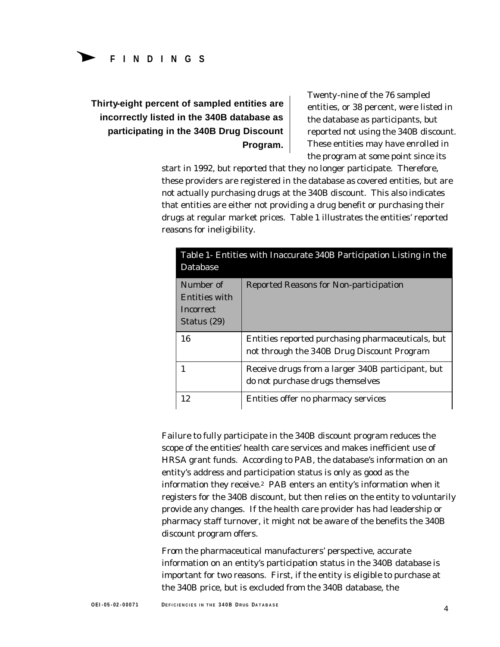# **Thirty-eight percent of sampled entities are entities, or 38 percent, were listed in incorrectly listed in the 340B database as** the database as participants, but **participating in the 340B Drug Discount reported not using the 340B discount.**

Twenty-nine of the 76 sampled **Program.** These entities may have enrolled in the program at some point since its

start in 1992, but reported that they no longer participate. Therefore, these providers are registered in the database as covered entities, but are not actually purchasing drugs at the 340B discount. This also indicates that entities are either not providing a drug benefit or purchasing their drugs at regular market prices. Table 1 illustrates the entities' reported reasons for ineligibility.

| Database                                                      | Table 1- Entities with Inaccurate 340B Participation Listing in the                             |
|---------------------------------------------------------------|-------------------------------------------------------------------------------------------------|
| Number of<br>Entities with<br><b>Incorrect</b><br>Status (29) | Reported Reasons for Non-participation                                                          |
| 16                                                            | Entities reported purchasing pharmaceuticals, but<br>not through the 340B Drug Discount Program |
|                                                               | Receive drugs from a larger 340B participant, but<br>do not purchase drugs themselves           |
|                                                               |                                                                                                 |

Failure to fully participate in the 340B discount program reduces the scope of the entities' health care services and makes inefficient use of HRSA grant funds. According to PAB, the database's information on an entity's address and participation status is only as good as the information they receive.2 PAB enters an entity's information when it registers for the 340B discount, but then relies on the entity to voluntarily provide any changes. If the health care provider has had leadership or pharmacy staff turnover, it might not be aware of the benefits the 340B discount program offers.

From the pharmaceutical manufacturers' perspective, accurate information on an entity's participation status in the 340B database is important for two reasons. First, if the entity is eligible to purchase at the 340B price, but is excluded from the 340B database, the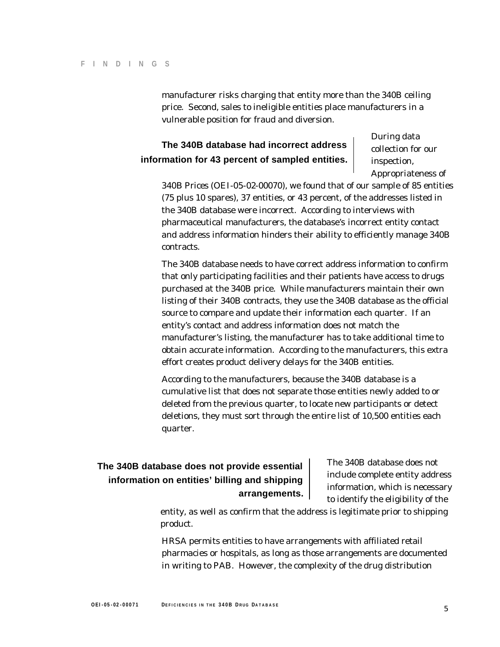manufacturer risks charging that entity more than the 340B ceiling price. Second, sales to ineligible entities place manufacturers in a vulnerable position for fraud and diversion.

### **The 340B database had incorrect address** and collection for our **information for 43 percent of sampled entities.** inspection,

During data *Appropriateness of* 

*340B Prices* (OEI-05-02-00070), we found that of our sample of 85 entities (75 plus 10 spares), 37 entities, or 43 percent, of the addresses listed in the 340B database were incorrect. According to interviews with pharmaceutical manufacturers, the database's incorrect entity contact and address information hinders their ability to efficiently manage 340B contracts.

The 340B database needs to have correct address information to confirm that only participating facilities and their patients have access to drugs purchased at the 340B price. While manufacturers maintain their own listing of their 340B contracts, they use the 340B database as the official source to compare and update their information each quarter. If an entity's contact and address information does not match the manufacturer's listing, the manufacturer has to take additional time to obtain accurate information. According to the manufacturers, this extra effort creates product delivery delays for the 340B entities.

According to the manufacturers, because the 340B database is a cumulative list that does not separate those entities newly added to or deleted from the previous quarter, to locate new participants or detect deletions, they must sort through the entire list of 10,500 entities each quarter.

# **The 340B database does not provide essential** The 340B database does not include complete entity address information on entities' billing and shipping

**arrangements.** information, which is necessary<br>to identify the eligibility of the

entity, as well as confirm that the address is legitimate prior to shipping product.

HRSA permits entities to have arrangements with affiliated retail pharmacies or hospitals, as long as those arrangements are documented in writing to PAB. However, the complexity of the drug distribution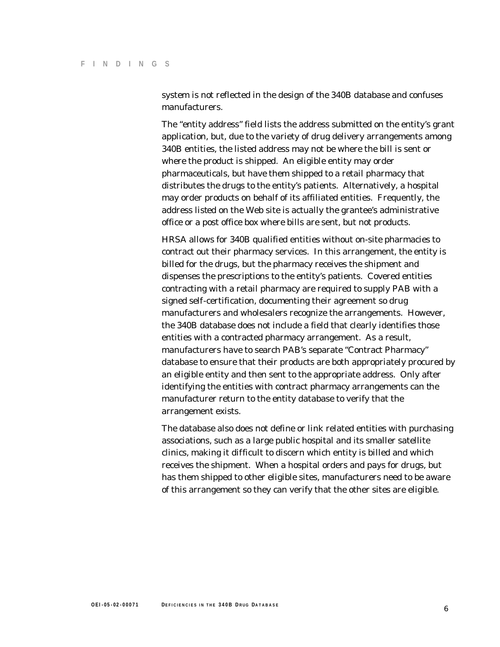system is not reflected in the design of the 340B database and confuses manufacturers.

The "entity address" field lists the address submitted on the entity's grant application, but, due to the variety of drug delivery arrangements among 340B entities, the listed address may not be where the bill is sent or where the product is shipped. An eligible entity may order pharmaceuticals, but have them shipped to a retail pharmacy that distributes the drugs to the entity's patients. Alternatively, a hospital may order products on behalf of its affiliated entities. Frequently, the address listed on the Web site is actually the grantee's administrative office or a post office box where bills are sent, but not products.

HRSA allows for 340B qualified entities without on-site pharmacies to contract out their pharmacy services. In this arrangement, the entity is billed for the drugs, but the pharmacy receives the shipment and dispenses the prescriptions to the entity's patients. Covered entities contracting with a retail pharmacy are required to supply PAB with a signed self-certification, documenting their agreement so drug manufacturers and wholesalers recognize the arrangements. However, the 340B database does not include a field that clearly identifies those entities with a contracted pharmacy arrangement. As a result, manufacturers have to search PAB's separate "Contract Pharmacy" database to ensure that their products are both appropriately procured by an eligible entity and then sent to the appropriate address. Only after identifying the entities with contract pharmacy arrangements can the manufacturer return to the entity database to verify that the arrangement exists.

The database also does not define or link related entities with purchasing associations, such as a large public hospital and its smaller satellite clinics, making it difficult to discern which entity is billed and which receives the shipment. When a hospital orders and pays for drugs, but has them shipped to other eligible sites, manufacturers need to be aware of this arrangement so they can verify that the other sites are eligible.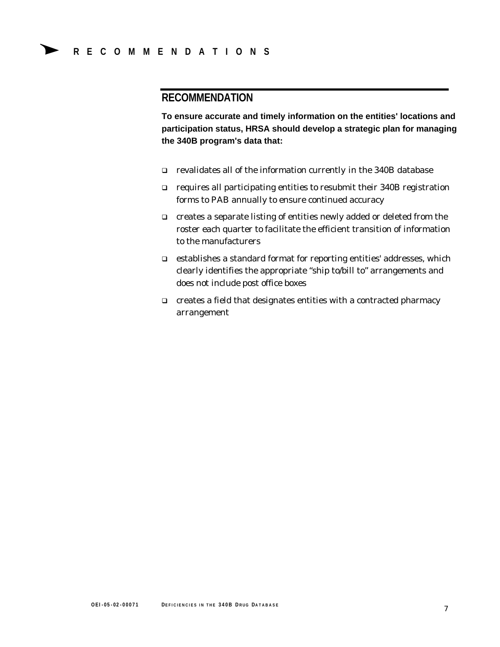### **RECOMMENDATION**

**To ensure accurate and timely information on the entities' locations and participation status, HRSA should develop a strategic plan for managing the 340B program's data that:** 

- � revalidates all of the information currently in the 340B database
- $\Box$  requires all participating entities to resubmit their 340B registration forms to PAB annually to ensure continued accuracy
- $\Box$  creates a separate listing of entities newly added or deleted from the roster each quarter to facilitate the efficient transition of information to the manufacturers
- $\Box$  establishes a standard format for reporting entities' addresses, which clearly identifies the appropriate "ship to/bill to" arrangements and does not include post office boxes
- $\Box$  creates a field that designates entities with a contracted pharmacy arrangement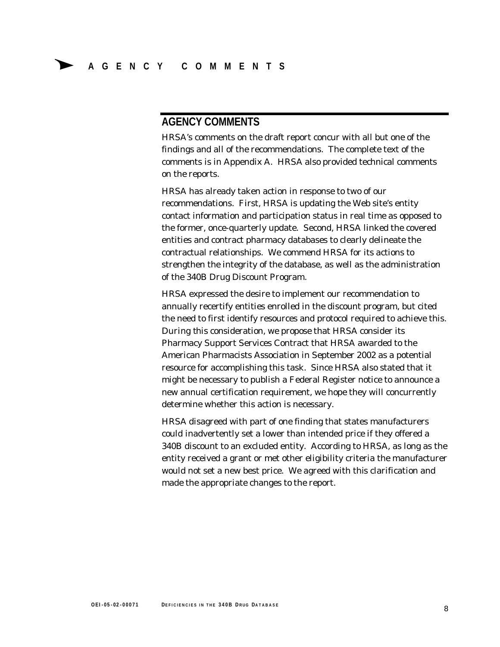#### **AGENCY COMMENTS**

HRSA's comments on the draft report concur with all but one of the findings and all of the recommendations. The complete text of the comments is in Appendix A. HRSA also provided technical comments on the reports.

HRSA has already taken action in response to two of our recommendations. First, HRSA is updating the Web site's entity contact information and participation status in real time as opposed to the former, once-quarterly update. Second, HRSA linked the covered entities and contract pharmacy databases to clearly delineate the contractual relationships. We commend HRSA for its actions to strengthen the integrity of the database, as well as the administration of the 340B Drug Discount Program.

HRSA expressed the desire to implement our recommendation to annually recertify entities enrolled in the discount program, but cited the need to first identify resources and protocol required to achieve this. During this consideration, we propose that HRSA consider its Pharmacy Support Services Contract that HRSA awarded to the American Pharmacists Association in September 2002 as a potential resource for accomplishing this task. Since HRSA also stated that it might be necessary to publish a Federal Register notice to announce a new annual certification requirement, we hope they will concurrently determine whether this action is necessary.

HRSA disagreed with part of one finding that states manufacturers could inadvertently set a lower than intended price if they offered a 340B discount to an excluded entity. According to HRSA, as long as the entity received a grant or met other eligibility criteria the manufacturer would not set a new best price. We agreed with this clarification and made the appropriate changes to the report.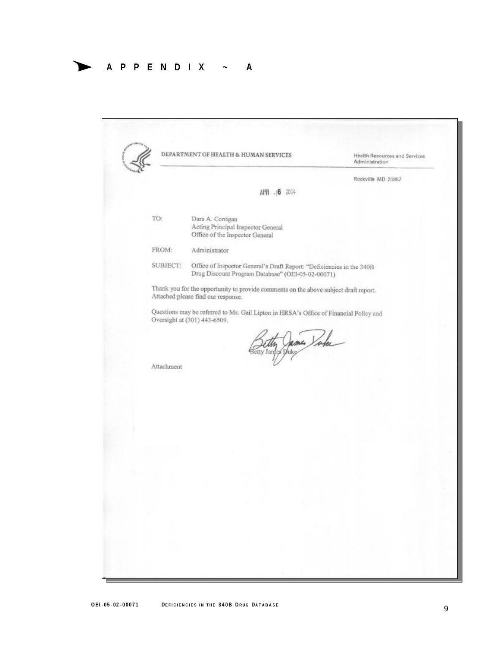## � **APPENDIX ~ A**

|            | DEPARTMENT OF HEALTH & HUMAN SERVICES                                                                                      | Health Resources and Services<br>Administration |  |  |
|------------|----------------------------------------------------------------------------------------------------------------------------|-------------------------------------------------|--|--|
|            |                                                                                                                            | Rockville MD 20857                              |  |  |
|            | 2004<br>APR<br>$-10$                                                                                                       |                                                 |  |  |
| TO:        | Dara A. Corrigan<br>Acting Principal Inspector General<br>Office of the Inspector General                                  |                                                 |  |  |
| FROM:      | Administrator                                                                                                              |                                                 |  |  |
| SUBJECT:   | Office of Inspector General's Draft Report: "Deficiencies in the 340B<br>Drug Discount Program Database" (OEI-05-02-00071) |                                                 |  |  |
|            | Thank you for the opportunity to provide comments on the above subject draft report.<br>Attached please find our response. |                                                 |  |  |
|            | Questions may be referred to Ms. Gail Lipton in HRSA's Office of Financial Policy and<br>Oversight at (301) 443-6509.      |                                                 |  |  |
| Attachment | Filly James Yake                                                                                                           |                                                 |  |  |
|            |                                                                                                                            |                                                 |  |  |
|            |                                                                                                                            |                                                 |  |  |
|            |                                                                                                                            |                                                 |  |  |
|            |                                                                                                                            |                                                 |  |  |
|            |                                                                                                                            |                                                 |  |  |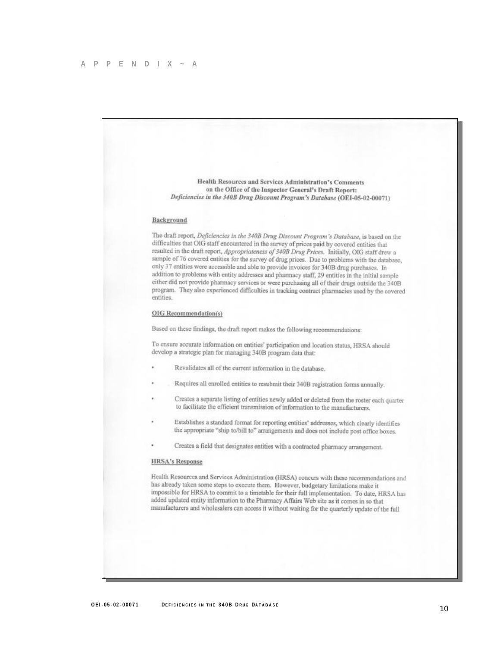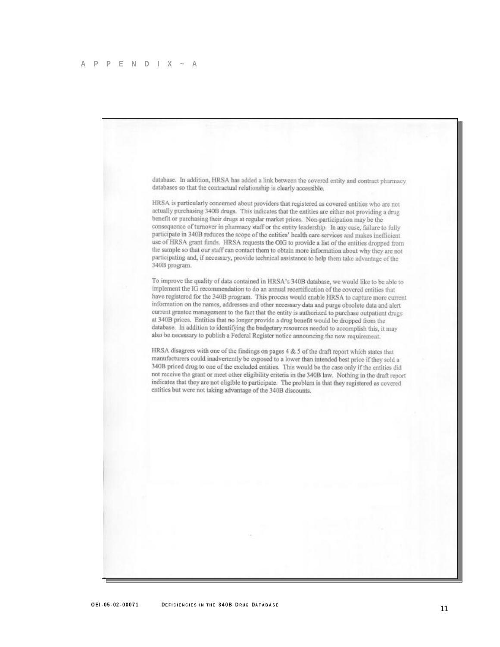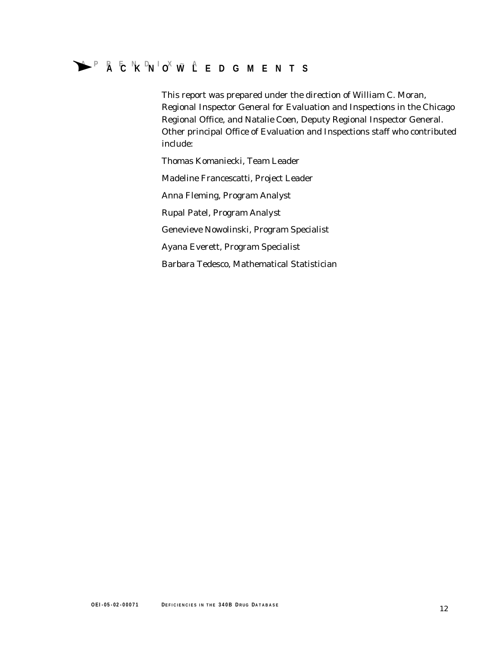# �**APPENDIX~A ACKNOWLEDGMENTS**

This report was prepared under the direction of William C. Moran, Regional Inspector General for Evaluation and Inspections in the Chicago Regional Office, and Natalie Coen, Deputy Regional Inspector General. Other principal Office of Evaluation and Inspections staff who contributed include:

Thomas Komaniecki, Team Leader Madeline Francescatti, Project Leader Anna Fleming, Program Analyst Rupal Patel, Program Analyst Genevieve Nowolinski, Program Specialist Ayana Everett, Program Specialist Barbara Tedesco, Mathematical Statistician